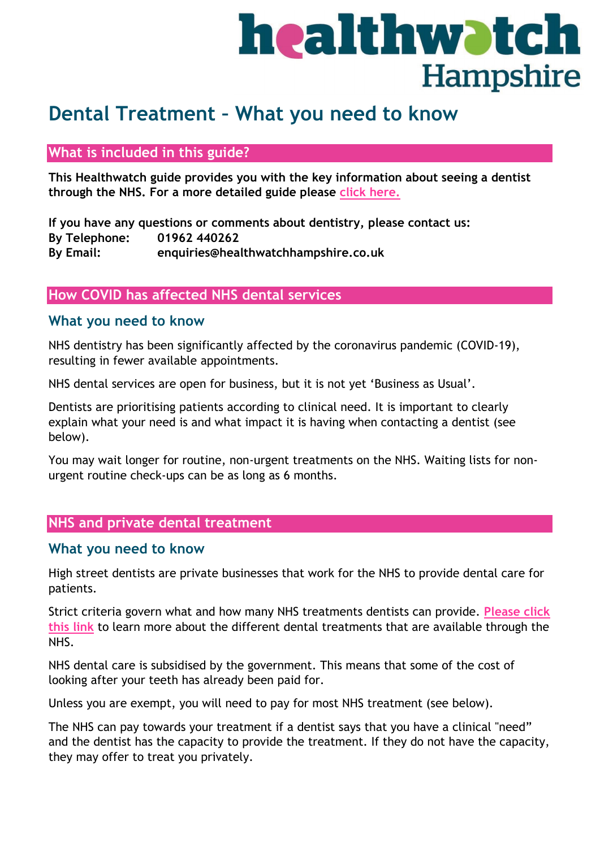# healthwatch **Hampshire**

# **Dental Treatment – What you need to know**

### **What is included in this guide?**

**This Healthwatch guide provides you with the key information about seeing a dentist through the NHS. For a more detailed guide please [click here.](https://www.healthwatchhampshire.co.uk/sites/healthwatchhampshire.co.uk/files/A%20guide%20to%20your%20rights%20and%20accessing%20the%20treatment%20you%20need%20-%20hants%20branded.docx)**

**If you have any questions or comments about dentistry, please contact us: By Telephone: 01962 440262 By Email: enquiries@healthwatchhampshire.co.uk**

#### **How COVID has affected NHS dental services**

#### **What you need to know**

NHS dentistry has been significantly affected by the coronavirus pandemic (COVID-19), resulting in fewer available appointments.

NHS dental services are open for business, but it is not yet 'Business as Usual'.

Dentists are prioritising patients according to clinical need. It is important to clearly explain what your need is and what impact it is having when contacting a dentist (see below).

You may wait longer for routine, non-urgent treatments on the NHS. Waiting lists for nonurgent routine check-ups can be as long as 6 months.

# **NHS and private dental treatment**

#### **What you need to know**

High street dentists are private businesses that work for the NHS to provide dental care for patients.

Strict criteria govern what and how many NHS treatments dentists can provide. **[Please click](https://www.nhs.uk/nhs-services/dentists/what-dental-services-are-available-on-the-nhs/)  [this link](https://www.nhs.uk/nhs-services/dentists/what-dental-services-are-available-on-the-nhs/)** to learn more about the different dental treatments that are available through the NHS.

NHS dental care is subsidised by the government. This means that some of the cost of looking after your teeth has already been paid for.

Unless you are exempt, you will need to pay for most NHS treatment (see below).

The NHS can pay towards your treatment if a dentist says that you have a clinical "need" and the dentist has the capacity to provide the treatment. If they do not have the capacity, they may offer to treat you privately.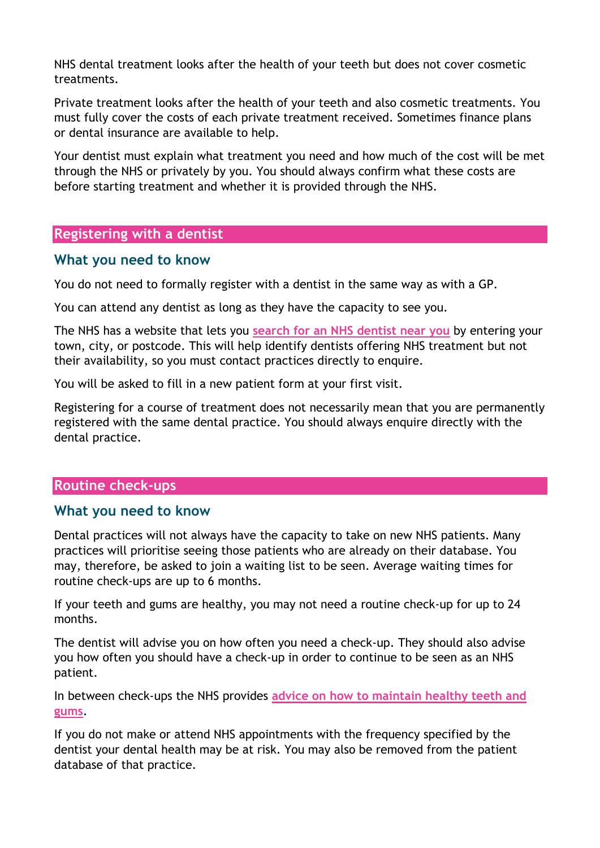NHS dental treatment looks after the health of your teeth but does not cover cosmetic treatments.

Private treatment looks after the health of your teeth and also cosmetic treatments. You must fully cover the costs of each private treatment received. Sometimes finance plans or dental insurance are available to help.

Your dentist must explain what treatment you need and how much of the cost will be met through the NHS or privately by you. You should always confirm what these costs are before starting treatment and whether it is provided through the NHS.

#### **Registering with a dentist**

#### **What you need to know**

You do not need to formally register with a dentist in the same way as with a GP.

You can attend any dentist as long as they have the capacity to see you.

The NHS has a website that lets you **[search for an NHS dentist near you](https://www.nhs.uk/service-search/find-a-dentist)** by entering your town, city, or postcode. This will help identify dentists offering NHS treatment but not their availability, so you must contact practices directly to enquire.

You will be asked to fill in a new patient form at your first visit.

Registering for a course of treatment does not necessarily mean that you are permanently registered with the same dental practice. You should always enquire directly with the dental practice.

#### **Routine check-ups**

#### **What you need to know**

Dental practices will not always have the capacity to take on new NHS patients. Many practices will prioritise seeing those patients who are already on their database. You may, therefore, be asked to join a waiting list to be seen. Average waiting times for routine check-ups are up to 6 months.

If your teeth and gums are healthy, you may not need a routine check-up for up to 24 months.

The dentist will advise you on how often you need a check-up. They should also advise you how often you should have a check-up in order to continue to be seen as an NHS patient.

In between check-ups the NHS provides **[advice on how to maintain healthy teeth and](https://www.nhs.uk/live-well/healthy-body/take-care-of-your-teeth-and-gums/)  [gums](https://www.nhs.uk/live-well/healthy-body/take-care-of-your-teeth-and-gums/)**.

If you do not make or attend NHS appointments with the frequency specified by the dentist your dental health may be at risk. You may also be removed from the patient database of that practice.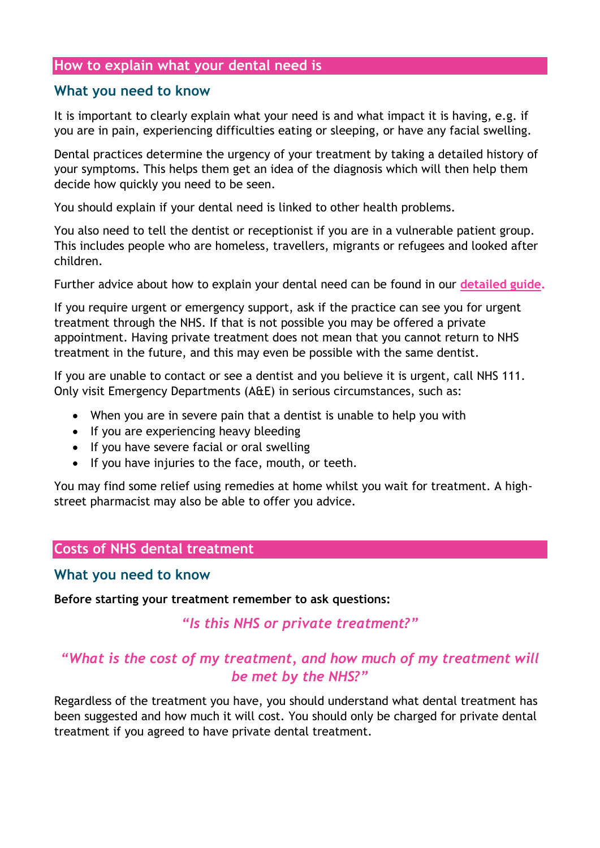#### **How to explain what your dental need is**

#### **What you need to know**

It is important to clearly explain what your need is and what impact it is having, e.g. if you are in pain, experiencing difficulties eating or sleeping, or have any facial swelling.

Dental practices determine the urgency of your treatment by taking a detailed history of your symptoms. This helps them get an idea of the diagnosis which will then help them decide how quickly you need to be seen.

You should explain if your dental need is linked to other health problems.

You also need to tell the dentist or receptionist if you are in a vulnerable patient group. This includes people who are homeless, travellers, migrants or refugees and looked after children.

Further advice about how to explain your dental need can be found in our **[detailed guide.](https://www.healthwatchhampshire.co.uk/sites/healthwatchhampshire.co.uk/files/A%20guide%20to%20your%20rights%20and%20accessing%20the%20treatment%20you%20need%20-%20hants%20branded.docx)**

If you require urgent or emergency support, ask if the practice can see you for urgent treatment through the NHS. If that is not possible you may be offered a private appointment. Having private treatment does not mean that you cannot return to NHS treatment in the future, and this may even be possible with the same dentist.

If you are unable to contact or see a dentist and you believe it is urgent, call NHS 111. Only visit Emergency Departments (A&E) in serious circumstances, such as:

- When you are in severe pain that a dentist is unable to help you with
- If you are experiencing heavy bleeding
- If you have severe facial or oral swelling
- If you have injuries to the face, mouth, or teeth.

You may find some relief using remedies at home whilst you wait for treatment. A highstreet pharmacist may also be able to offer you advice.

#### **Costs of NHS dental treatment**

#### **What you need to know**

**Before starting your treatment remember to ask questions:**

#### *"Is this NHS or private treatment?"*

# *"What is the cost of my treatment, and how much of my treatment will be met by the NHS?"*

Regardless of the treatment you have, you should understand what dental treatment has been suggested and how much it will cost. You should only be charged for private dental treatment if you agreed to have private dental treatment.